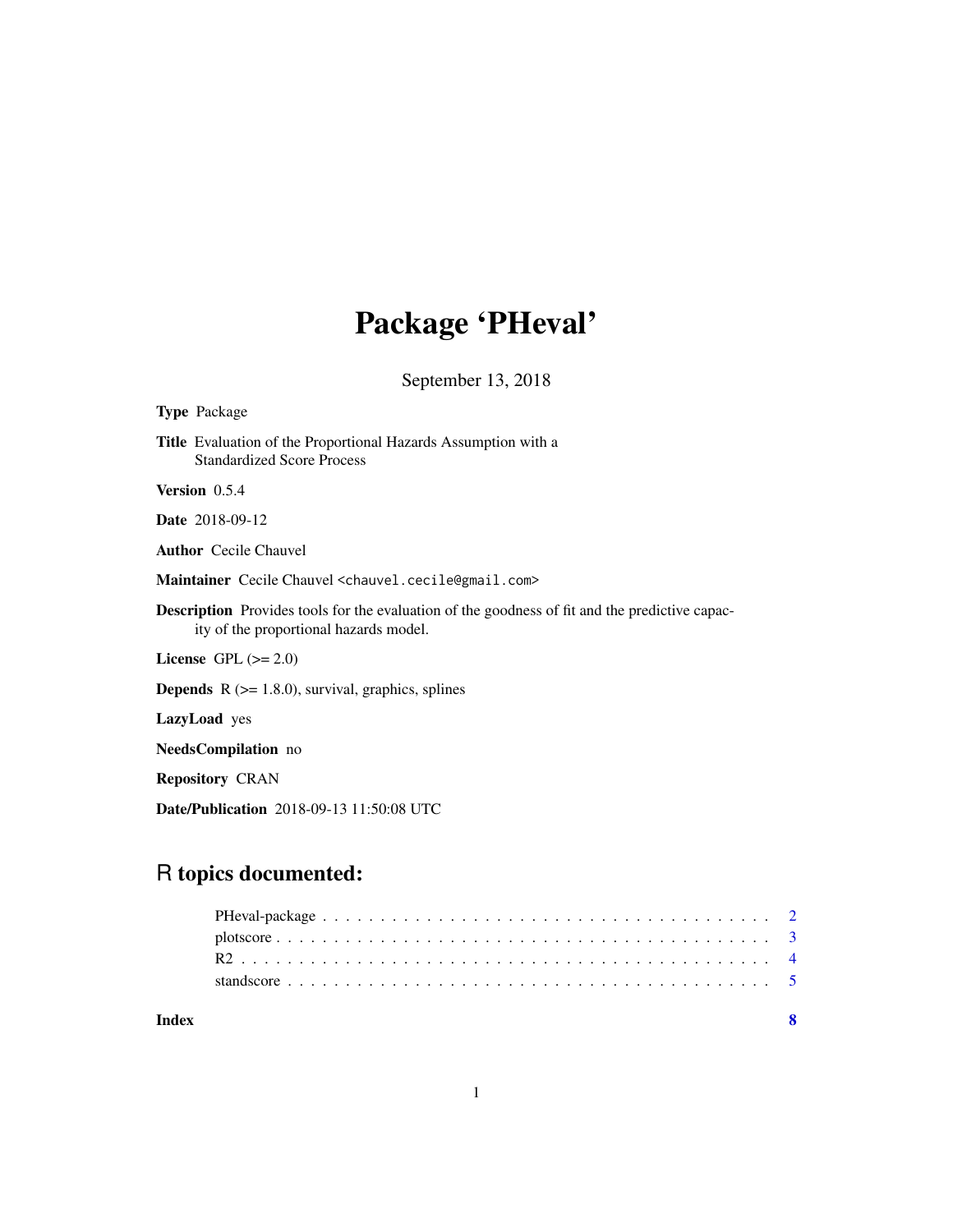# Package 'PHeval'

September 13, 2018

| <b>Type Package</b>                                                                                                                             |
|-------------------------------------------------------------------------------------------------------------------------------------------------|
| <b>Title</b> Evaluation of the Proportional Hazards Assumption with a<br><b>Standardized Score Process</b>                                      |
| Version 0.5.4                                                                                                                                   |
| <b>Date</b> 2018-09-12                                                                                                                          |
| <b>Author</b> Cecile Chauvel                                                                                                                    |
| Maintainer Cecile Chauvel <chauvel.cecile@gmail.com></chauvel.cecile@gmail.com>                                                                 |
| <b>Description</b> Provides tools for the evaluation of the goodness of fit and the predictive capac-<br>ity of the proportional hazards model. |
| License GPL $(>= 2.0)$                                                                                                                          |
| <b>Depends</b> $R$ ( $> = 1.8.0$ ), survival, graphics, splines                                                                                 |
| LazyLoad yes                                                                                                                                    |
| <b>NeedsCompilation</b> no                                                                                                                      |
| <b>Repository CRAN</b>                                                                                                                          |
| <b>Date/Publication</b> 2018-09-13 11:50:08 UTC                                                                                                 |

# R topics documented:

**Index** [8](#page-7-0) **8**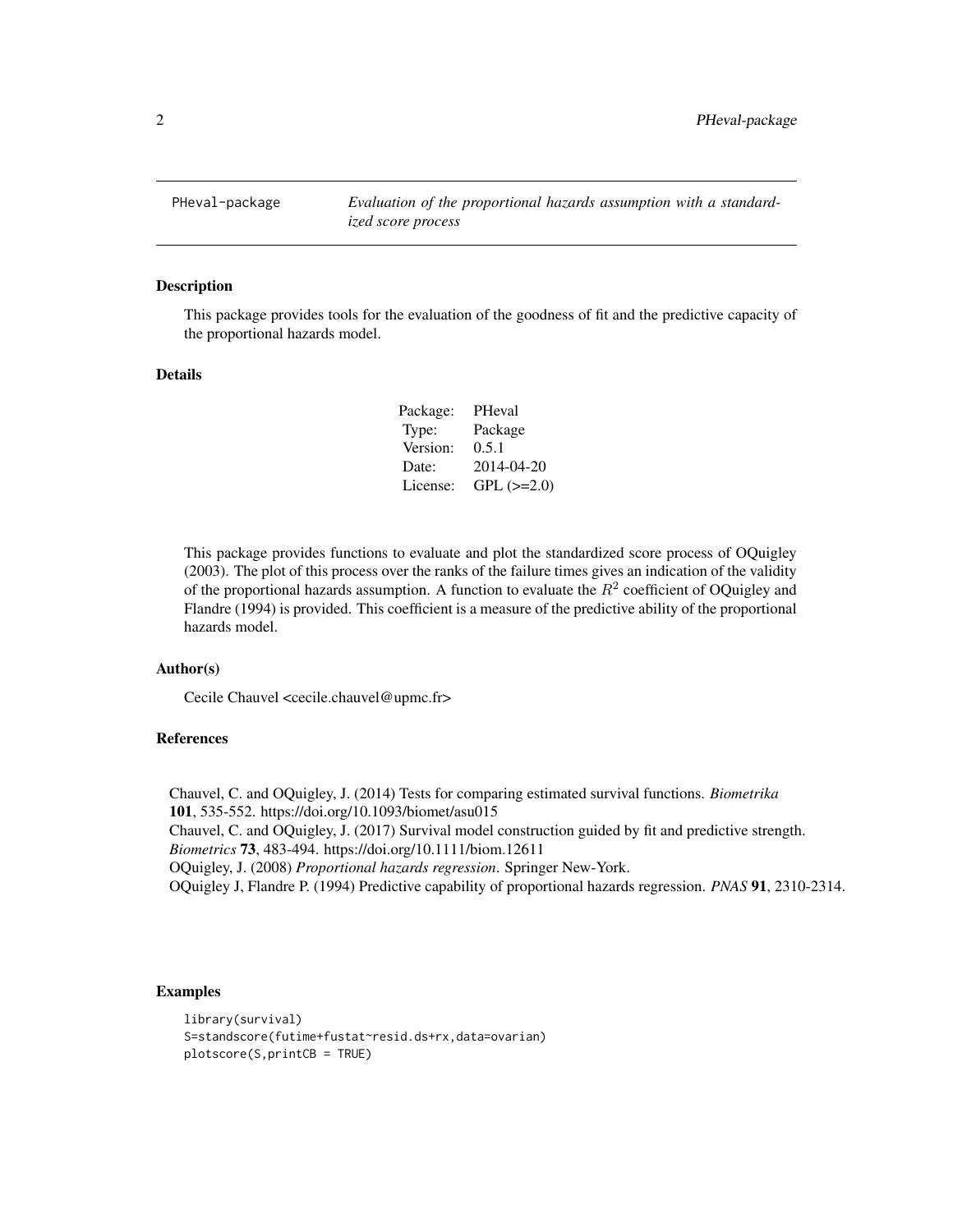<span id="page-1-0"></span>

## Description

This package provides tools for the evaluation of the goodness of fit and the predictive capacity of the proportional hazards model.

# Details

| PHeval            |
|-------------------|
| Package           |
| 0.5.1             |
| 2014-04-20        |
| $GPL$ ( $>=2.0$ ) |
|                   |

This package provides functions to evaluate and plot the standardized score process of OQuigley (2003). The plot of this process over the ranks of the failure times gives an indication of the validity of the proportional hazards assumption. A function to evaluate the  $R^2$  coefficient of OQuigley and Flandre (1994) is provided. This coefficient is a measure of the predictive ability of the proportional hazards model.

#### Author(s)

Cecile Chauvel <cecile.chauvel@upmc.fr>

# References

Chauvel, C. and OQuigley, J. (2014) Tests for comparing estimated survival functions. *Biometrika* 101, 535-552. https://doi.org/10.1093/biomet/asu015 Chauvel, C. and OQuigley, J. (2017) Survival model construction guided by fit and predictive strength. *Biometrics* 73, 483-494. https://doi.org/10.1111/biom.12611 OQuigley, J. (2008) *Proportional hazards regression*. Springer New-York. OQuigley J, Flandre P. (1994) Predictive capability of proportional hazards regression. *PNAS* 91, 2310-2314.

# Examples

```
library(survival)
S=standscore(futime+fustat~resid.ds+rx,data=ovarian)
plotscore(S,printCB = TRUE)
```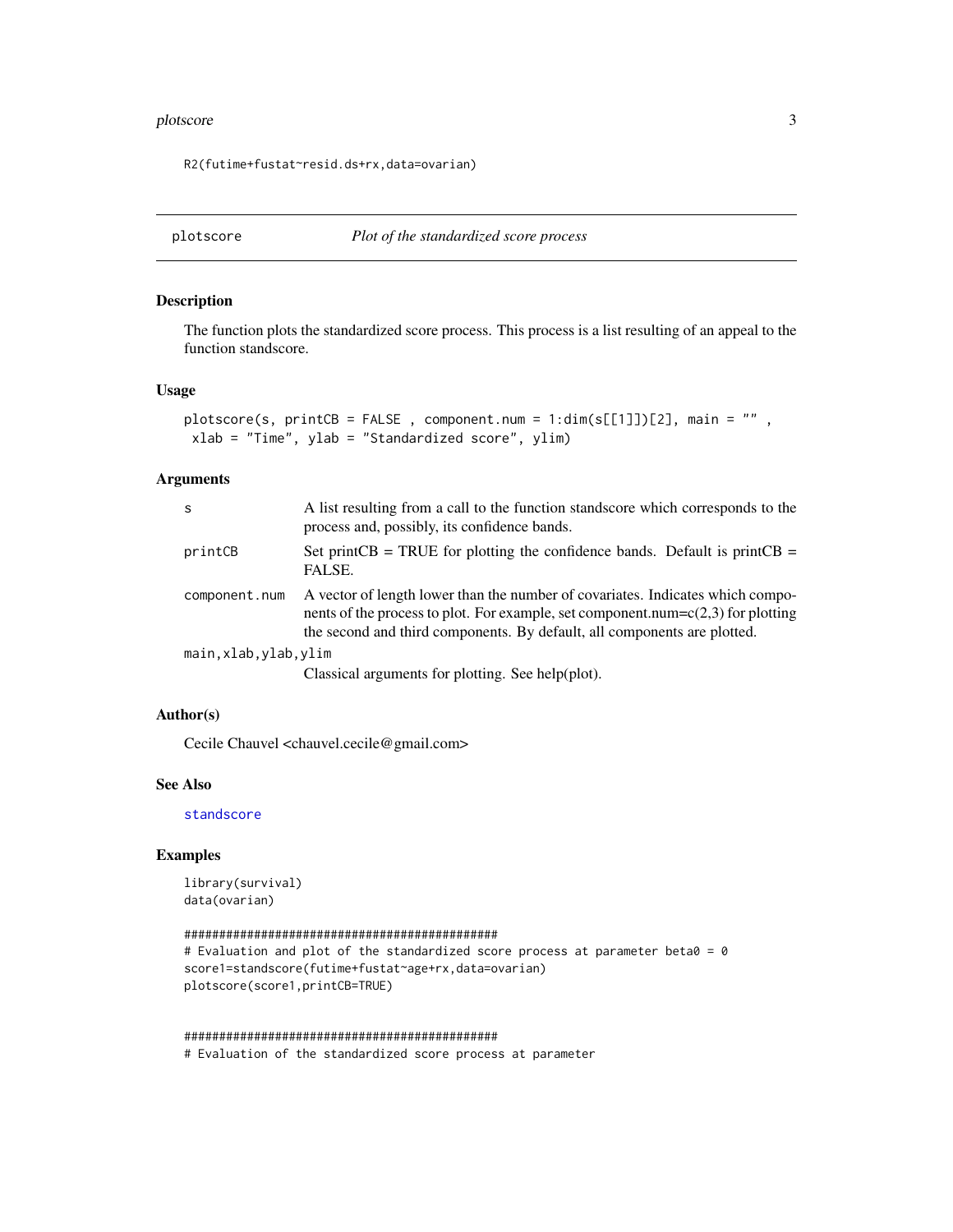#### <span id="page-2-0"></span>plotscore 3

R2(futime+fustat~resid.ds+rx,data=ovarian)

<span id="page-2-1"></span>

# Description

The function plots the standardized score process. This process is a list resulting of an appeal to the function standscore.

## Usage

```
plotscore(s, printCB = FALSE, component.num = 1:dim(s[[1]])[2], main = "",
xlab = "Time", ylab = "Standardized score", ylim)
```
# Arguments

| S                      | A list resulting from a call to the function standscore which corresponds to the<br>process and, possibly, its confidence bands.                                                                                                                  |
|------------------------|---------------------------------------------------------------------------------------------------------------------------------------------------------------------------------------------------------------------------------------------------|
| printCB                | Set print CB = TRUE for plotting the confidence bands. Default is print CB =<br>FALSE.                                                                                                                                                            |
| component.num          | A vector of length lower than the number of covariates. Indicates which compo-<br>nents of the process to plot. For example, set component.num= $c(2,3)$ for plotting<br>the second and third components. By default, all components are plotted. |
| main, xlab, ylab, ylim |                                                                                                                                                                                                                                                   |
|                        | Classical arguments for plotting. See help(plot).                                                                                                                                                                                                 |

# Author(s)

Cecile Chauvel <chauvel.cecile@gmail.com>

#### See Also

[standscore](#page-4-1)

# Examples

library(survival) data(ovarian)

```
#############################################
# Evaluation and plot of the standardized score process at parameter beta0 = 0
score1=standscore(futime+fustat~age+rx,data=ovarian)
plotscore(score1,printCB=TRUE)
```
#### #############################################

# Evaluation of the standardized score process at parameter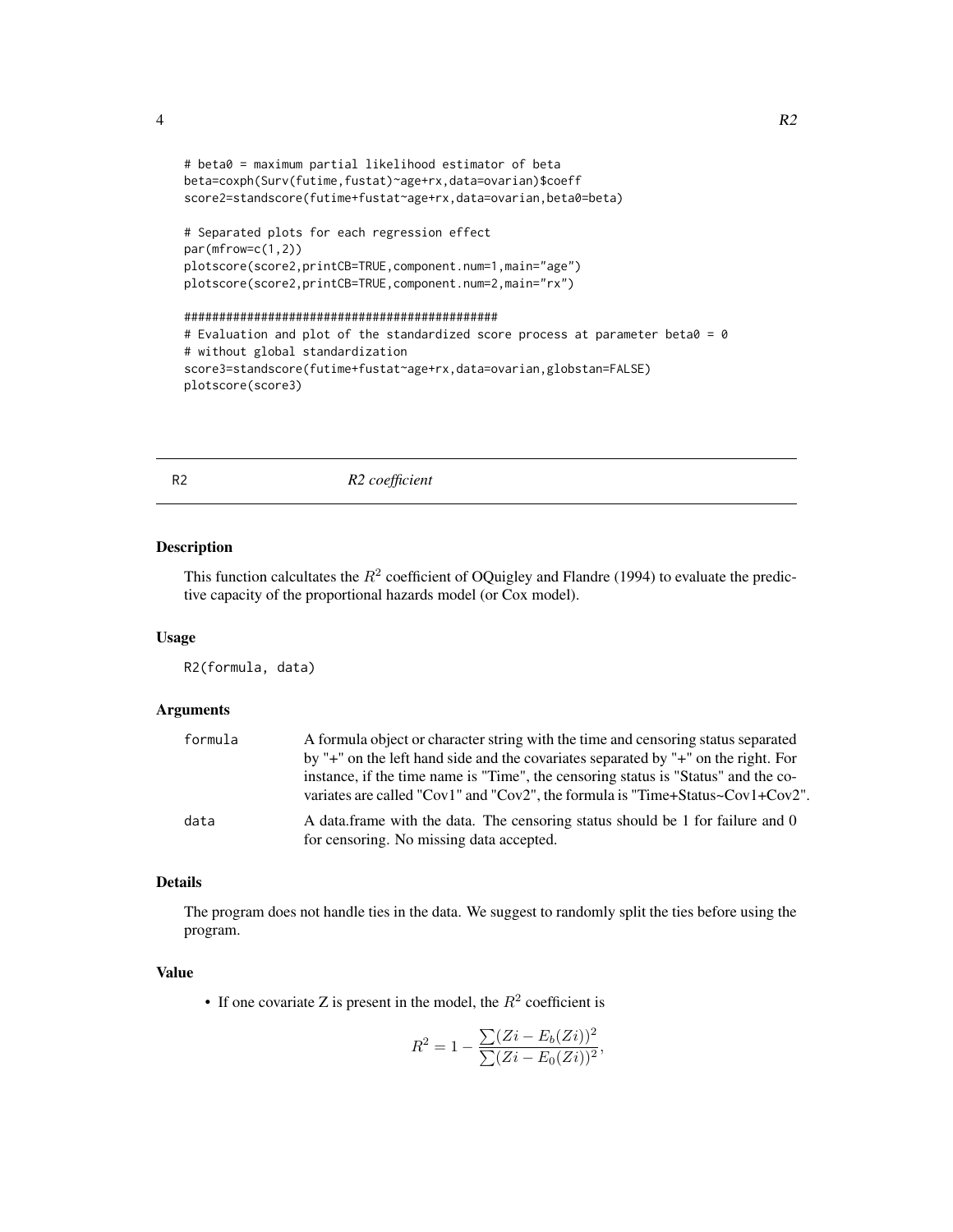<span id="page-3-0"></span>

```
# beta0 = maximum partial likelihood estimator of beta
beta=coxph(Surv(futime,fustat)~age+rx,data=ovarian)$coeff
score2=standscore(futime+fustat~age+rx,data=ovarian,beta0=beta)
```

```
# Separated plots for each regression effect
par(mfrow=c(1,2))
plotscore(score2,printCB=TRUE,component.num=1,main="age")
plotscore(score2,printCB=TRUE,component.num=2,main="rx")
```

```
#############################################
# Evaluation and plot of the standardized score process at parameter beta0 = 0
# without global standardization
score3=standscore(futime+fustat~age+rx,data=ovarian,globstan=FALSE)
plotscore(score3)
```
R2 *R2 coefficient*

# Description

This function calcultates the  $R^2$  coefficient of OQuigley and Flandre (1994) to evaluate the predictive capacity of the proportional hazards model (or Cox model).

# Usage

R2(formula, data)

# Arguments

| formula | A formula object or character string with the time and censoring status separated<br>by "+" on the left hand side and the covariates separated by "+" on the right. For<br>instance, if the time name is "Time", the censoring status is "Status" and the co-<br>variates are called "Cov1" and "Cov2", the formula is "Time+Status~Cov1+Cov2". |
|---------|-------------------------------------------------------------------------------------------------------------------------------------------------------------------------------------------------------------------------------------------------------------------------------------------------------------------------------------------------|
| data    | A data frame with the data. The censoring status should be 1 for failure and 0<br>for censoring. No missing data accepted.                                                                                                                                                                                                                      |

# Details

The program does not handle ties in the data. We suggest to randomly split the ties before using the program.

#### Value

• If one covariate Z is present in the model, the  $R^2$  coefficient is

$$
R^{2} = 1 - \frac{\sum (Zi - E_{b}(Zi))^{2}}{\sum (Zi - E_{0}(Zi))^{2}},
$$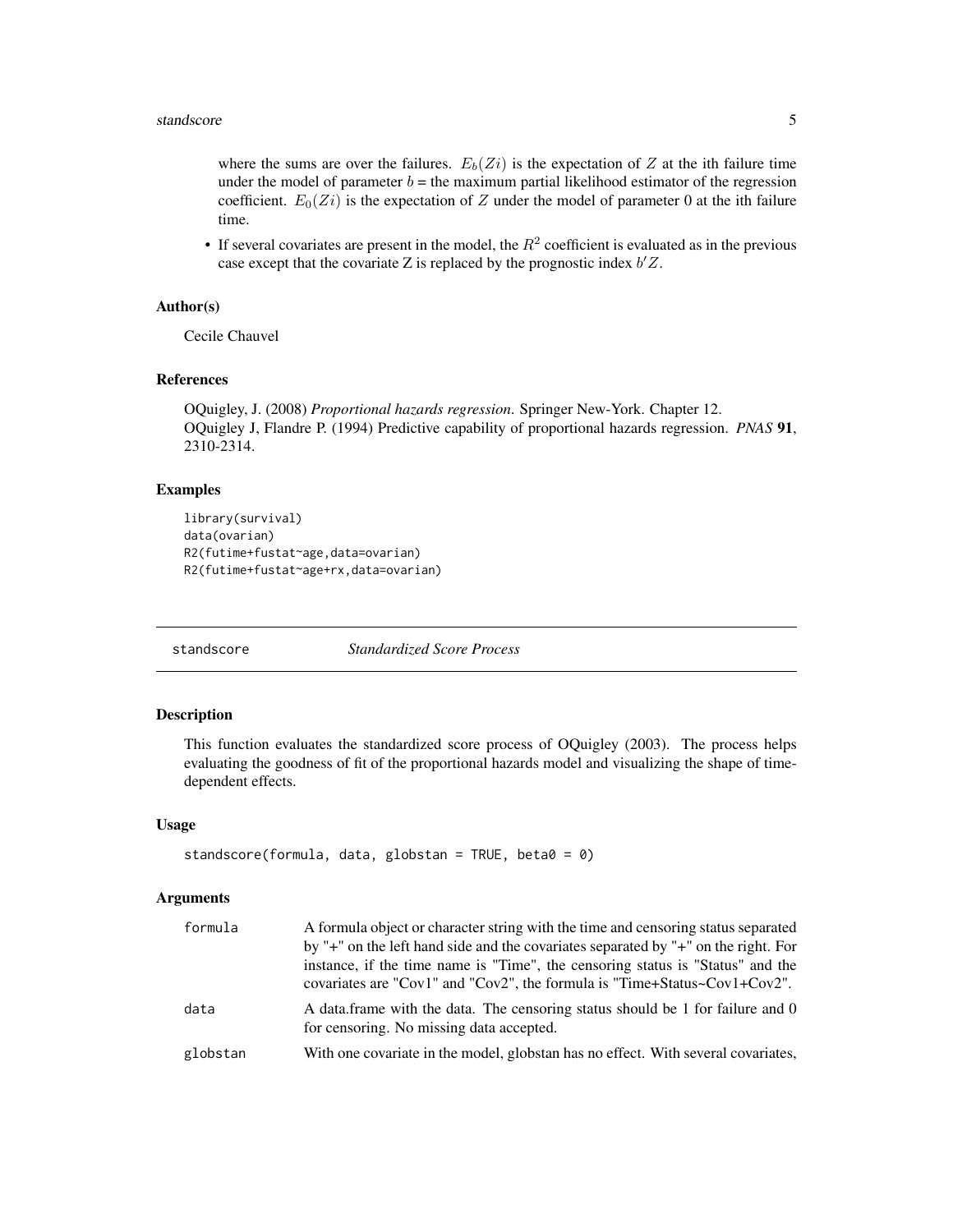<span id="page-4-0"></span>where the sums are over the failures.  $E_b(Z_i)$  is the expectation of Z at the ith failure time under the model of parameter  $b =$  the maximum partial likelihood estimator of the regression coefficient.  $E_0(Z_i)$  is the expectation of Z under the model of parameter 0 at the ith failure time.

• If several covariates are present in the model, the  $R^2$  coefficient is evaluated as in the previous case except that the covariate Z is replaced by the prognostic index  $b'Z$ .

# Author(s)

Cecile Chauvel

# References

```
OQuigley, J. (2008) Proportional hazards regression. Springer New-York. Chapter 12.
OQuigley J, Flandre P. (1994) Predictive capability of proportional hazards regression. PNAS 91,
2310-2314.
```
# **Examples**

```
library(survival)
data(ovarian)
R2(futime+fustat~age,data=ovarian)
R2(futime+fustat~age+rx,data=ovarian)
```
<span id="page-4-1"></span>standscore *Standardized Score Process*

#### Description

This function evaluates the standardized score process of OQuigley (2003). The process helps evaluating the goodness of fit of the proportional hazards model and visualizing the shape of timedependent effects.

#### Usage

```
standscore(formula, data, globstan = TRUE, beta0 = 0)
```
# Arguments

| formula  | A formula object or character string with the time and censoring status separated                                          |
|----------|----------------------------------------------------------------------------------------------------------------------------|
|          | by "+" on the left hand side and the covariates separated by "+" on the right. For                                         |
|          | instance, if the time name is "Time", the censoring status is "Status" and the                                             |
|          | covariates are "Cov1" and "Cov2", the formula is "Time+Status~Cov1+Cov2".                                                  |
| data     | A data frame with the data. The censoring status should be 1 for failure and 0<br>for censoring. No missing data accepted. |
| globstan | With one covariate in the model, globstan has no effect. With several covariates,                                          |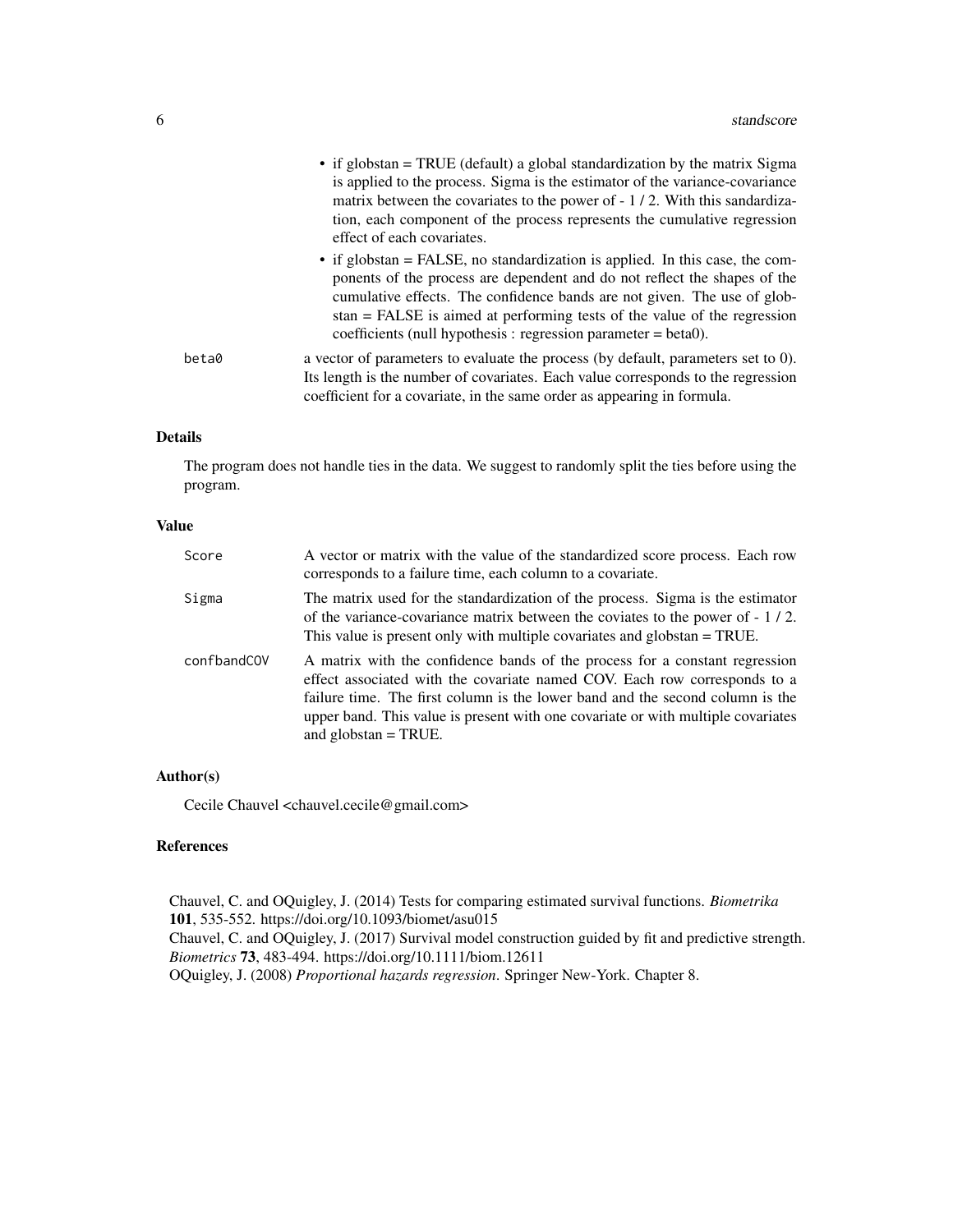|       | • if globstan = TRUE (default) a global standardization by the matrix Sigma<br>is applied to the process. Sigma is the estimator of the variance-covariance<br>matrix between the covariates to the power of - 1/2. With this sandardiza-<br>tion, each component of the process represents the cumulative regression<br>effect of each covariates.                                             |
|-------|-------------------------------------------------------------------------------------------------------------------------------------------------------------------------------------------------------------------------------------------------------------------------------------------------------------------------------------------------------------------------------------------------|
|       | $\bullet$ if globstan = FALSE, no standardization is applied. In this case, the com-<br>ponents of the process are dependent and do not reflect the shapes of the<br>cumulative effects. The confidence bands are not given. The use of glob-<br>$stan = FALSE$ is aimed at performing tests of the value of the regression<br>coefficients (null hypothesis : regression parameter $=$ beta0). |
| beta0 | a vector of parameters to evaluate the process (by default, parameters set to $0$ ).<br>Its length is the number of covariates. Each value corresponds to the regression<br>coefficient for a covariate, in the same order as appearing in formula.                                                                                                                                             |

# Details

The program does not handle ties in the data. We suggest to randomly split the ties before using the program.

# Value

| Score       | A vector or matrix with the value of the standardized score process. Each row<br>corresponds to a failure time, each column to a covariate.                                                                                                                                                                                                             |
|-------------|---------------------------------------------------------------------------------------------------------------------------------------------------------------------------------------------------------------------------------------------------------------------------------------------------------------------------------------------------------|
| Sigma       | The matrix used for the standardization of the process. Sigma is the estimator<br>of the variance-covariance matrix between the coviates to the power of $-1/2$ .<br>This value is present only with multiple covariates and globstan = TRUE.                                                                                                           |
| confbandCOV | A matrix with the confidence bands of the process for a constant regression<br>effect associated with the covariate named COV. Each row corresponds to a<br>failure time. The first column is the lower band and the second column is the<br>upper band. This value is present with one covariate or with multiple covariates<br>and globstan $=$ TRUE. |

# Author(s)

Cecile Chauvel <chauvel.cecile@gmail.com>

# References

Chauvel, C. and OQuigley, J. (2014) Tests for comparing estimated survival functions. *Biometrika* 101, 535-552. https://doi.org/10.1093/biomet/asu015 Chauvel, C. and OQuigley, J. (2017) Survival model construction guided by fit and predictive strength. *Biometrics* 73, 483-494. https://doi.org/10.1111/biom.12611 OQuigley, J. (2008) *Proportional hazards regression*. Springer New-York. Chapter 8.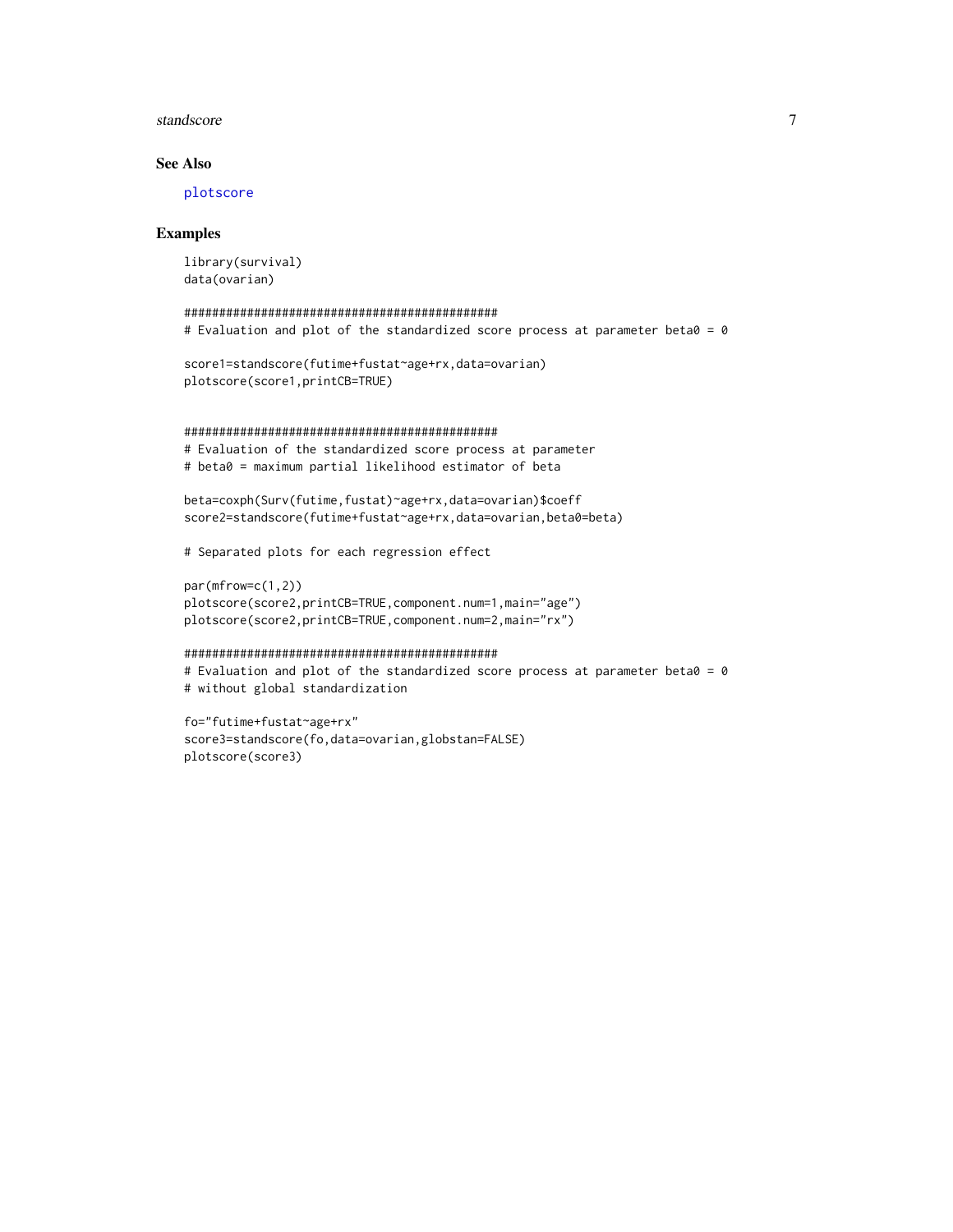#### <span id="page-6-0"></span>standscore and the standard property of the standard property of  $\sim$  7

# See Also

[plotscore](#page-2-1)

#### Examples

```
library(survival)
data(ovarian)
```

```
#############################################
# Evaluation and plot of the standardized score process at parameter beta0 = 0
```

```
score1=standscore(futime+fustat~age+rx,data=ovarian)
plotscore(score1,printCB=TRUE)
```

```
#############################################
```
# Evaluation of the standardized score process at parameter # beta0 = maximum partial likelihood estimator of beta

```
beta=coxph(Surv(futime,fustat)~age+rx,data=ovarian)$coeff
score2=standscore(futime+fustat~age+rx,data=ovarian,beta0=beta)
```
# Separated plots for each regression effect

```
par(mfrow=c(1,2))
plotscore(score2,printCB=TRUE,component.num=1,main="age")
plotscore(score2,printCB=TRUE,component.num=2,main="rx")
```

```
#############################################
# Evaluation and plot of the standardized score process at parameter beta0 = 0
# without global standardization
```

```
fo="futime+fustat~age+rx"
score3=standscore(fo,data=ovarian,globstan=FALSE)
plotscore(score3)
```